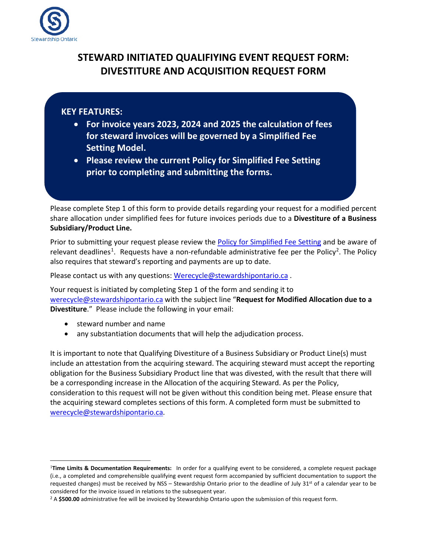

# **STEWARD INITIATED QUALIFIYING EVENT REQUEST FORM: DIVESTITURE AND ACQUISITION REQUEST FORM**

### **KEY FEATURES:**

- **For invoice years 2023, 2024 and 2025 the calculation of fees for steward invoices will be governed by a Simplified Fee Setting Model.**
- **Please review the current Policy for Simplified Fee Setting prior to completing and submitting the forms.**

Please complete Step 1 of this form to provide details regarding your request for a modified percent share allocation under simplified fees for future invoices periods due to a **Divestiture of a Business Subsidiary/Product Line.** 

Prior to submitting your request please review the [Policy for Simplified Fee Setting](https://stewardshipontario.ca/wp-content/uploads/2022/05/Stewardship-Ontario-Policy-for-Simplified-Fee-Setting-May-2022.pdf) and be aware of relevant deadlines<sup>[1](#page-0-0)</sup>. Requests have a non-refundable administrative fee per the Policy<sup>[2](#page-0-1)</sup>. The Policy also requires that steward's reporting and payments are up to date.

Please contact us with any questions: [Werecycle@stewardshipontario.ca](mailto:Werecycle@stewardshipontario.ca) .

Your request is initiated by completing Step 1 of the form and sending it to [werecycle@stewardshipontario.ca](mailto:werecycle@stewardshipontario.ca) with the subject line "**Request for Modified Allocation due to a Divestiture**." Please include the following in your email:

- steward number and name
- any substantiation documents that will help the adjudication process.

It is important to note that Qualifying Divestiture of a Business Subsidiary or Product Line(s) must include an attestation from the acquiring steward. The acquiring steward must accept the reporting obligation for the Business Subsidiary Product line that was divested, with the result that there will be a corresponding increase in the Allocation of the acquiring Steward. As per the Policy, consideration to this request will not be given without this condition being met. Please ensure that the acquiring steward completes sections of this form. A completed form must be submitted to [werecycle@stewardshipontario.ca.](mailto:werecycle@stewardshipontario.ca)

<span id="page-0-0"></span><sup>1</sup>**Time Limits & Documentation Requirements:** In order for a qualifying event to be considered, a complete request package (i.e., a completed and comprehensible qualifying event request form accompanied by sufficient documentation to support the requested changes) must be received by NSS - Stewardship Ontario prior to the deadline of July 31<sup>st</sup> of a calendar year to be considered for the invoice issued in relations to the subsequent year.<br><sup>2</sup> A **\$500.00** administrative fee will be invoiced by Stewardship Ontario upon the submission of this request form.

<span id="page-0-1"></span>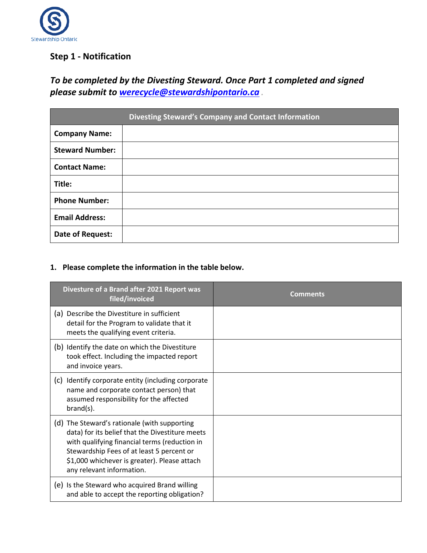

## **Step 1 - Notification**

# *To be completed by the Divesting Steward. Once Part 1 completed and signed please submit to [werecycle@stewardshipontario.ca](mailto:werecycle@stewardshipontario.ca) .*

|                        | <b>Divesting Steward's Company and Contact Information</b> |
|------------------------|------------------------------------------------------------|
| <b>Company Name:</b>   |                                                            |
| <b>Steward Number:</b> |                                                            |
| <b>Contact Name:</b>   |                                                            |
| Title:                 |                                                            |
| <b>Phone Number:</b>   |                                                            |
| <b>Email Address:</b>  |                                                            |
| Date of Request:       |                                                            |

#### **1. Please complete the information in the table below.**

| Divesture of a Brand after 2021 Report was<br>filed/invoiced                                                                                                                                                                                                               | Comments |
|----------------------------------------------------------------------------------------------------------------------------------------------------------------------------------------------------------------------------------------------------------------------------|----------|
| (a) Describe the Divestiture in sufficient<br>detail for the Program to validate that it<br>meets the qualifying event criteria.                                                                                                                                           |          |
| (b) Identify the date on which the Divestiture<br>took effect. Including the impacted report<br>and invoice years.                                                                                                                                                         |          |
| (c)<br>Identify corporate entity (including corporate<br>name and corporate contact person) that<br>assumed responsibility for the affected<br>$brand(s)$ .                                                                                                                |          |
| (d) The Steward's rationale (with supporting<br>data) for its belief that the Divestiture meets<br>with qualifying financial terms (reduction in<br>Stewardship Fees of at least 5 percent or<br>\$1,000 whichever is greater). Please attach<br>any relevant information. |          |
| (e) Is the Steward who acquired Brand willing<br>and able to accept the reporting obligation?                                                                                                                                                                              |          |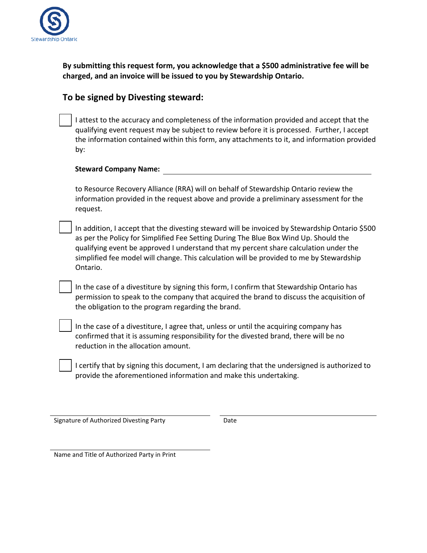

**By submitting this request form, you acknowledge that a \$500 administrative fee will be charged, and an invoice will be issued to you by Stewardship Ontario.**

### **To be signed by Divesting steward:**

I attest to the accuracy and completeness of the information provided and accept that the qualifying event request may be subject to review before it is processed. Further, I accept the information contained within this form, any attachments to it, and information provided by:

#### **Steward Company Name:**

to Resource Recovery Alliance (RRA) will on behalf of Stewardship Ontario review the information provided in the request above and provide a preliminary assessment for the request.

In addition, I accept that the divesting steward will be invoiced by Stewardship Ontario \$500 as per the Policy for Simplified Fee Setting During The Blue Box Wind Up. Should the qualifying event be approved I understand that my percent share calculation under the simplified fee model will change. This calculation will be provided to me by Stewardship Ontario.

In the case of a divestiture by signing this form, I confirm that Stewardship Ontario has permission to speak to the company that acquired the brand to discuss the acquisition of the obligation to the program regarding the brand.

In the case of a divestiture, I agree that, unless or until the acquiring company has confirmed that it is assuming responsibility for the divested brand, there will be no reduction in the allocation amount.

I certify that by signing this document, I am declaring that the undersigned is authorized to provide the aforementioned information and make this undertaking.

Signature of Authorized Divesting Party **Date**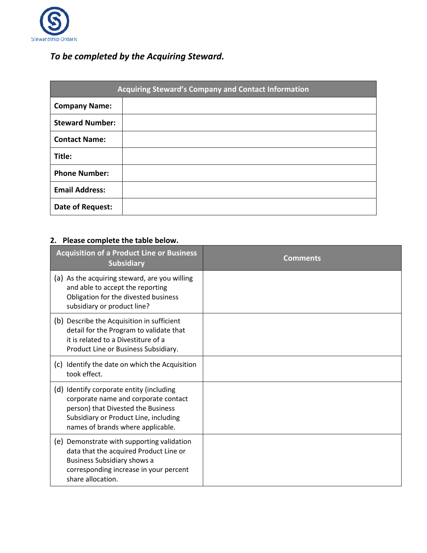

# *To be completed by the Acquiring Steward.*

| Acquiring Steward's Company and Contact Information |  |  |  |  |
|-----------------------------------------------------|--|--|--|--|
| <b>Company Name:</b>                                |  |  |  |  |
| <b>Steward Number:</b>                              |  |  |  |  |
| <b>Contact Name:</b>                                |  |  |  |  |
| Title:                                              |  |  |  |  |
| <b>Phone Number:</b>                                |  |  |  |  |
| <b>Email Address:</b>                               |  |  |  |  |
| Date of Request:                                    |  |  |  |  |

# **2. Please complete the table below.**

| <b>Acquisition of a Product Line or Business</b><br><b>Subsidiary</b>                                                                                                                                | Comments |
|------------------------------------------------------------------------------------------------------------------------------------------------------------------------------------------------------|----------|
| (a) As the acquiring steward, are you willing<br>and able to accept the reporting<br>Obligation for the divested business<br>subsidiary or product line?                                             |          |
| (b) Describe the Acquisition in sufficient<br>detail for the Program to validate that<br>it is related to a Divestiture of a<br>Product Line or Business Subsidiary.                                 |          |
| (c) Identify the date on which the Acquisition<br>took effect.                                                                                                                                       |          |
| (d) Identify corporate entity (including<br>corporate name and corporate contact<br>person) that Divested the Business<br>Subsidiary or Product Line, including<br>names of brands where applicable. |          |
| (e) Demonstrate with supporting validation<br>data that the acquired Product Line or<br>Business Subsidiary shows a<br>corresponding increase in your percent<br>share allocation.                   |          |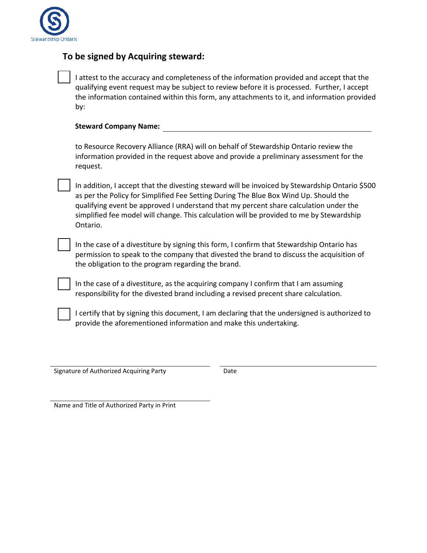

#### **To be signed by Acquiring steward:**

I attest to the accuracy and completeness of the information provided and accept that the qualifying event request may be subject to review before it is processed. Further, I accept the information contained within this form, any attachments to it, and information provided by:

|  | <b>Steward Company Name:</b> |  |
|--|------------------------------|--|
|--|------------------------------|--|

to Resource Recovery Alliance (RRA) will on behalf of Stewardship Ontario review the information provided in the request above and provide a preliminary assessment for the request.

In addition, I accept that the divesting steward will be invoiced by Stewardship Ontario \$500 as per the Policy for Simplified Fee Setting During The Blue Box Wind Up. Should the qualifying event be approved I understand that my percent share calculation under the simplified fee model will change. This calculation will be provided to me by Stewardship Ontario.

In the case of a divestiture by signing this form, I confirm that Stewardship Ontario has permission to speak to the company that divested the brand to discuss the acquisition of the obligation to the program regarding the brand.

In the case of a divestiture, as the acquiring company I confirm that I am assuming responsibility for the divested brand including a revised precent share calculation.

I certify that by signing this document, I am declaring that the undersigned is authorized to provide the aforementioned information and make this undertaking.

Signature of Authorized Acquiring Party **Date**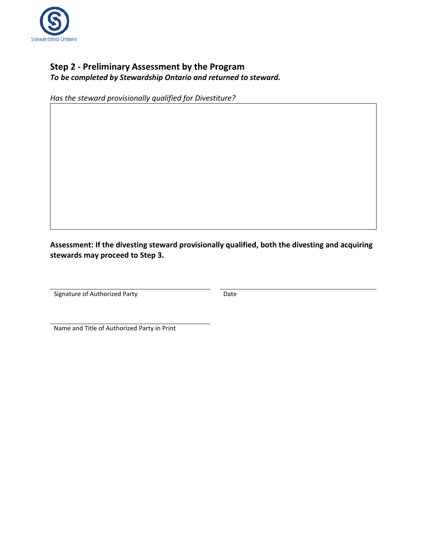

### **Step 2 - Preliminary Assessment by the Program** *To be completed by Stewardship Ontario and returned to steward.*

*Has the steward provisionally qualified for Divestiture?*

**Assessment: If the divesting steward provisionally qualified, both the divesting and acquiring stewards may proceed to Step 3.**

Signature of Authorized Party **Date** Date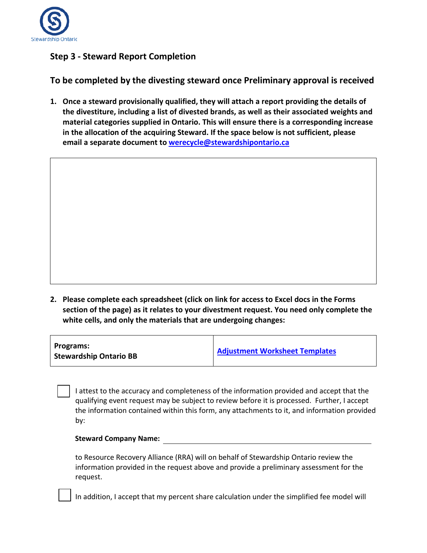

### **Step 3 - Steward Report Completion**

**To be completed by the divesting steward once Preliminary approval is received**

**1. Once a steward provisionally qualified, they will attach a report providing the details of the divestiture, including a list of divested brands, as well as their associated weights and material categories supplied in Ontario. This will ensure there is a corresponding increase in the allocation of the acquiring Steward. If the space below is not sufficient, please email a separate document to [werecycle@stewardshipontario.ca](mailto:werecycle@stewardshipontario.ca)**

**2. Please complete each spreadsheet (click on link for access to Excel docs in the Forms section of the page) as it relates to your divestment request. You need only complete the white cells, and only the materials that are undergoing changes:**

| <b>Adjustment Worksheet Templates</b> |
|---------------------------------------|
|                                       |

I attest to the accuracy and completeness of the information provided and accept that the qualifying event request may be subject to review before it is processed. Further, I accept the information contained within this form, any attachments to it, and information provided by:

#### **Steward Company Name:**

to Resource Recovery Alliance (RRA) will on behalf of Stewardship Ontario review the information provided in the request above and provide a preliminary assessment for the request.

In addition, I accept that my percent share calculation under the simplified fee model will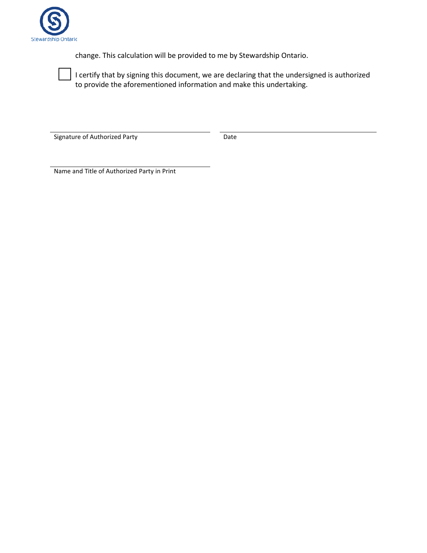

change. This calculation will be provided to me by Stewardship Ontario.

I certify that by signing this document, we are declaring that the undersigned is authorized to provide the aforementioned information and make this undertaking.

Signature of Authorized Party **Date** Date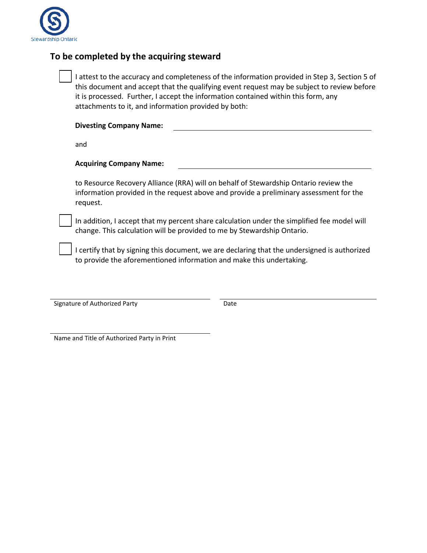

#### **To be completed by the acquiring steward**

I attest to the accuracy and completeness of the information provided in Step 3, Section 5 of this document and accept that the qualifying event request may be subject to review before it is processed. Further, I accept the information contained within this form, any attachments to it, and information provided by both:

| <b>Divesting Company Name:</b> |  |
|--------------------------------|--|
|--------------------------------|--|

and

#### **Acquiring Company Name:**

to Resource Recovery Alliance (RRA) will on behalf of Stewardship Ontario review the information provided in the request above and provide a preliminary assessment for the request.

In addition, I accept that my percent share calculation under the simplified fee model will change. This calculation will be provided to me by Stewardship Ontario.

I certify that by signing this document, we are declaring that the undersigned is authorized to provide the aforementioned information and make this undertaking.

Signature of Authorized Party **Date** Date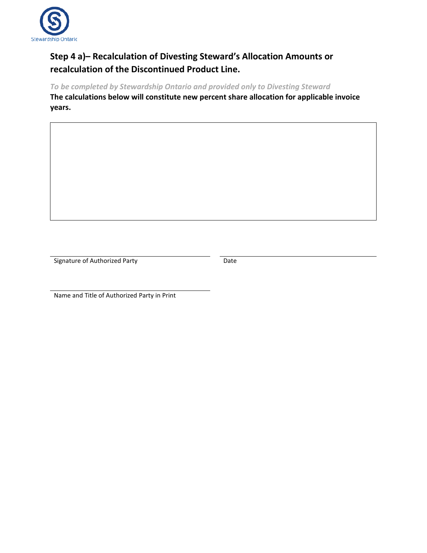

## **Step 4 a)– Recalculation of Divesting Steward's Allocation Amounts or recalculation of the Discontinued Product Line.**

*To be completed by Stewardship Ontario and provided only to Divesting Steward* **The calculations below will constitute new percent share allocation for applicable invoice years.**

Signature of Authorized Party **Date** Date